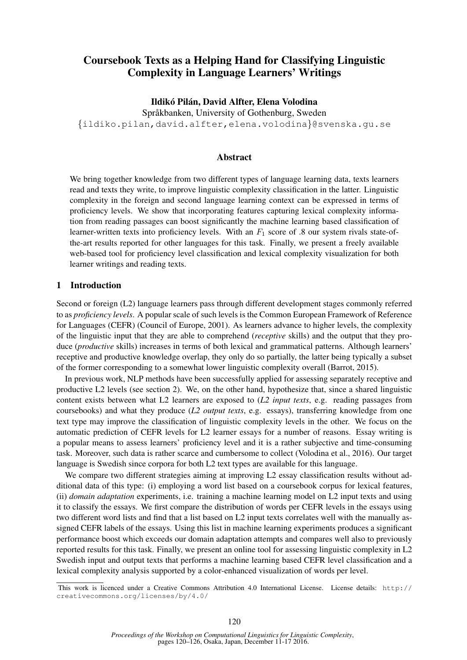# Coursebook Texts as a Helping Hand for Classifying Linguistic Complexity in Language Learners' Writings

### Ildikó Pilán, David Alfter, Elena Volodina

Språkbanken, University of Gothenburg, Sweden {ildiko.pilan,david.alfter,elena.volodina}@svenska.gu.se

### Abstract

We bring together knowledge from two different types of language learning data, texts learners read and texts they write, to improve linguistic complexity classification in the latter. Linguistic complexity in the foreign and second language learning context can be expressed in terms of proficiency levels. We show that incorporating features capturing lexical complexity information from reading passages can boost significantly the machine learning based classification of learner-written texts into proficiency levels. With an  $F_1$  score of .8 our system rivals state-ofthe-art results reported for other languages for this task. Finally, we present a freely available web-based tool for proficiency level classification and lexical complexity visualization for both learner writings and reading texts.

## 1 Introduction

Second or foreign (L2) language learners pass through different development stages commonly referred to as *proficiency levels*. A popular scale of such levels is the Common European Framework of Reference for Languages (CEFR) (Council of Europe, 2001). As learners advance to higher levels, the complexity of the linguistic input that they are able to comprehend (*receptive* skills) and the output that they produce (*productive* skills) increases in terms of both lexical and grammatical patterns. Although learners' receptive and productive knowledge overlap, they only do so partially, the latter being typically a subset of the former corresponding to a somewhat lower linguistic complexity overall (Barrot, 2015).

In previous work, NLP methods have been successfully applied for assessing separately receptive and productive L2 levels (see section 2). We, on the other hand, hypothesize that, since a shared linguistic content exists between what L2 learners are exposed to (*L2 input texts*, e.g. reading passages from coursebooks) and what they produce (*L2 output texts*, e.g. essays), transferring knowledge from one text type may improve the classification of linguistic complexity levels in the other. We focus on the automatic prediction of CEFR levels for L2 learner essays for a number of reasons. Essay writing is a popular means to assess learners' proficiency level and it is a rather subjective and time-consuming task. Moreover, such data is rather scarce and cumbersome to collect (Volodina et al., 2016). Our target language is Swedish since corpora for both L2 text types are available for this language.

We compare two different strategies aiming at improving L2 essay classification results without additional data of this type: (i) employing a word list based on a coursebook corpus for lexical features, (ii) *domain adaptation* experiments, i.e. training a machine learning model on L2 input texts and using it to classify the essays. We first compare the distribution of words per CEFR levels in the essays using two different word lists and find that a list based on L2 input texts correlates well with the manually assigned CEFR labels of the essays. Using this list in machine learning experiments produces a significant performance boost which exceeds our domain adaptation attempts and compares well also to previously reported results for this task. Finally, we present an online tool for assessing linguistic complexity in L2 Swedish input and output texts that performs a machine learning based CEFR level classification and a lexical complexity analysis supported by a color-enhanced visualization of words per level.

This work is licenced under a Creative Commons Attribution 4.0 International License. License details: http:// creativecommons.org/licenses/by/4.0/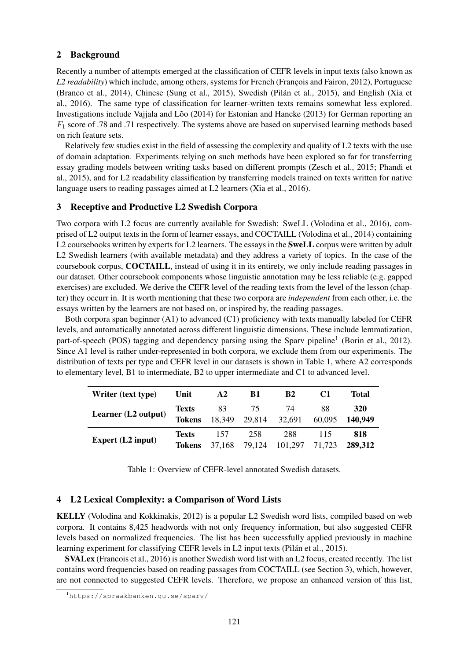## 2 Background

Recently a number of attempts emerged at the classification of CEFR levels in input texts (also known as *L2 readability*) which include, among others, systems for French (François and Fairon, 2012), Portuguese (Branco et al., 2014), Chinese (Sung et al., 2015), Swedish (Pilán et al., 2015), and English (Xia et al., 2016). The same type of classification for learner-written texts remains somewhat less explored. Investigations include Vajjala and Lõo  $(2014)$  for Estonian and Hancke  $(2013)$  for German reporting an  $F_1$  score of .78 and .71 respectively. The systems above are based on supervised learning methods based on rich feature sets.

Relatively few studies exist in the field of assessing the complexity and quality of L2 texts with the use of domain adaptation. Experiments relying on such methods have been explored so far for transferring essay grading models between writing tasks based on different prompts (Zesch et al., 2015; Phandi et al., 2015), and for L2 readability classification by transferring models trained on texts written for native language users to reading passages aimed at L2 learners (Xia et al., 2016).

## 3 Receptive and Productive L2 Swedish Corpora

Two corpora with L2 focus are currently available for Swedish: SweLL (Volodina et al., 2016), comprised of L2 output texts in the form of learner essays, and COCTAILL (Volodina et al., 2014) containing L2 coursebooks written by experts for L2 learners. The essays in the **SweLL** corpus were written by adult L2 Swedish learners (with available metadata) and they address a variety of topics. In the case of the coursebook corpus, COCTAILL, instead of using it in its entirety, we only include reading passages in our dataset. Other coursebook components whose linguistic annotation may be less reliable (e.g. gapped exercises) are excluded. We derive the CEFR level of the reading texts from the level of the lesson (chapter) they occurr in. It is worth mentioning that these two corpora are *independent* from each other, i.e. the essays written by the learners are not based on, or inspired by, the reading passages.

Both corpora span beginner (A1) to advanced (C1) proficiency with texts manually labeled for CEFR levels, and automatically annotated across different linguistic dimensions. These include lemmatization, part-of-speech (POS) tagging and dependency parsing using the Sparv pipeline<sup>1</sup> (Borin et al., 2012). Since A1 level is rather under-represented in both corpora, we exclude them from our experiments. The distribution of texts per type and CEFR level in our datasets is shown in Table 1, where A2 corresponds to elementary level, B1 to intermediate, B2 to upper intermediate and C1 to advanced level.

| Writer (text type)       | Unit          | $\mathbf{A2}$ | B1     | <b>B2</b> |        | Total      |
|--------------------------|---------------|---------------|--------|-----------|--------|------------|
| Learner (L2 output)      | <b>Texts</b>  | 83            | 75     | 74        | 88     | <b>320</b> |
|                          | <b>Tokens</b> | 18,349        | 29,814 | 32,691    | 60,095 | 140.949    |
| <b>Expert</b> (L2 input) | <b>Texts</b>  | 157           | 258    | 288       | 115    | 818        |
|                          | <b>Tokens</b> | 37,168        | 79.124 | 101,297   | 71.723 | 289,312    |

Table 1: Overview of CEFR-level annotated Swedish datasets.

## 4 L2 Lexical Complexity: a Comparison of Word Lists

KELLY (Volodina and Kokkinakis, 2012) is a popular L2 Swedish word lists, compiled based on web corpora. It contains 8,425 headwords with not only frequency information, but also suggested CEFR levels based on normalized frequencies. The list has been successfully applied previously in machine learning experiment for classifying CEFR levels in L2 input texts (Pilán et al., 2015).

SVALex (Francois et al., 2016) is another Swedish word list with an L2 focus, created recently. The list contains word frequencies based on reading passages from COCTAILL (see Section 3), which, however, are not connected to suggested CEFR levels. Therefore, we propose an enhanced version of this list,

<sup>1</sup>https://spraakbanken.gu.se/sparv/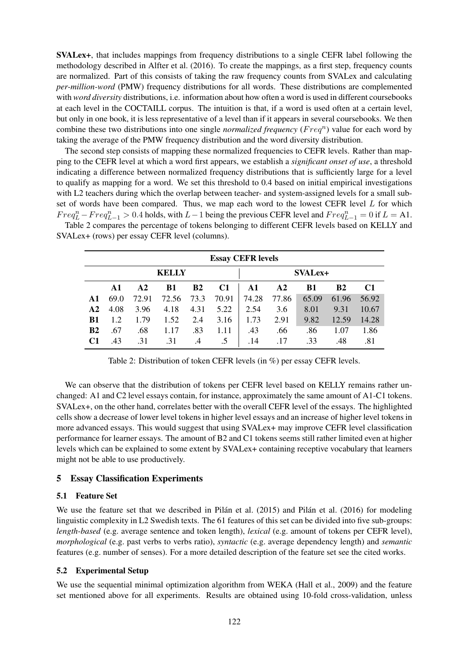SVALex+, that includes mappings from frequency distributions to a single CEFR label following the methodology described in Alfter et al. (2016). To create the mappings, as a first step, frequency counts are normalized. Part of this consists of taking the raw frequency counts from SVALex and calculating *per-million-word* (PMW) frequency distributions for all words. These distributions are complemented with *word diversity* distributions, i.e. information about how often a word is used in different coursebooks at each level in the COCTAILL corpus. The intuition is that, if a word is used often at a certain level, but only in one book, it is less representative of a level than if it appears in several coursebooks. We then combine these two distributions into one single *normalized frequency* ( $Freq<sup>n</sup>$ ) value for each word by taking the average of the PMW frequency distribution and the word diversity distribution.

The second step consists of mapping these normalized frequencies to CEFR levels. Rather than mapping to the CEFR level at which a word first appears, we establish a *significant onset of use*, a threshold indicating a difference between normalized frequency distributions that is sufficiently large for a level to qualify as mapping for a word. We set this threshold to 0.4 based on initial empirical investigations with L2 teachers during which the overlap between teacher- and system-assigned levels for a small subset of words have been compared. Thus, we map each word to the lowest CEFR level L for which  $Freq_L^n -Freq_{L-1}^n > 0.4$  holds, with  $L-1$  being the previous CEFR level and  $Freq_{L-1}^n = 0$  if  $L = A1$ . Table 2 compares the percentage of tokens belonging to different CEFR levels based on KELLY and

SVALex+ (rows) per essay CEFR level (columns).

|                | <b>Essay CEFR levels</b> |               |           |                |                |               |               |           |                |                |  |
|----------------|--------------------------|---------------|-----------|----------------|----------------|---------------|---------------|-----------|----------------|----------------|--|
| <b>KELLY</b>   |                          |               |           |                | <b>SVALex+</b> |               |               |           |                |                |  |
|                | A1                       | $\mathbf{A2}$ | <b>B1</b> | B <sub>2</sub> | C <sub>1</sub> | $\mathbf{A1}$ | $\mathbf{A2}$ | <b>B1</b> | B <sub>2</sub> | C <sub>1</sub> |  |
| $\mathbf{A1}$  | 69.0                     | 72.91         | 72.56     | 73.3           | 70.91          | 74.28         | 77.86         | 65.09     | 61.96          | 56.92          |  |
| A <sub>2</sub> | 4.08                     | 3.96          | 4.18      | 4.31           | 5.22           | 2.54          | 3.6           | 8.01      | 9.31           | 10.67          |  |
| <b>B1</b>      | 1.2                      | 1.79          | 1.52      | 2.4            | 3.16           | 1.73          | 2.91          | 9.82      | 12.59          | 14.28          |  |
| B <sub>2</sub> | .67                      | .68           | 1.17      | .83            | 1.11           | .43           | .66           | .86       | 1.07           | 1.86           |  |
| C1             | .43                      | .31           | .31       | .4             |                | .14           | .17           | .33       | .48            | .81            |  |

Table 2: Distribution of token CEFR levels (in %) per essay CEFR levels.

We can observe that the distribution of tokens per CEFR level based on KELLY remains rather unchanged: A1 and C2 level essays contain, for instance, approximately the same amount of A1-C1 tokens. SVALex+, on the other hand, correlates better with the overall CEFR level of the essays. The highlighted cells show a decrease of lower level tokens in higher level essays and an increase of higher level tokens in more advanced essays. This would suggest that using SVALex+ may improve CEFR level classification performance for learner essays. The amount of B2 and C1 tokens seems still rather limited even at higher levels which can be explained to some extent by SVALex+ containing receptive vocabulary that learners might not be able to use productively.

## 5 Essay Classification Experiments

## 5.1 Feature Set

We use the feature set that we described in Pilán et al.  $(2015)$  and Pilán et al.  $(2016)$  for modeling linguistic complexity in L2 Swedish texts. The 61 features of this set can be divided into five sub-groups: *length-based* (e.g. average sentence and token length), *lexical* (e.g. amount of tokens per CEFR level), *morphological* (e.g. past verbs to verbs ratio), *syntactic* (e.g. average dependency length) and *semantic* features (e.g. number of senses). For a more detailed description of the feature set see the cited works.

## 5.2 Experimental Setup

We use the sequential minimal optimization algorithm from WEKA (Hall et al., 2009) and the feature set mentioned above for all experiments. Results are obtained using 10-fold cross-validation, unless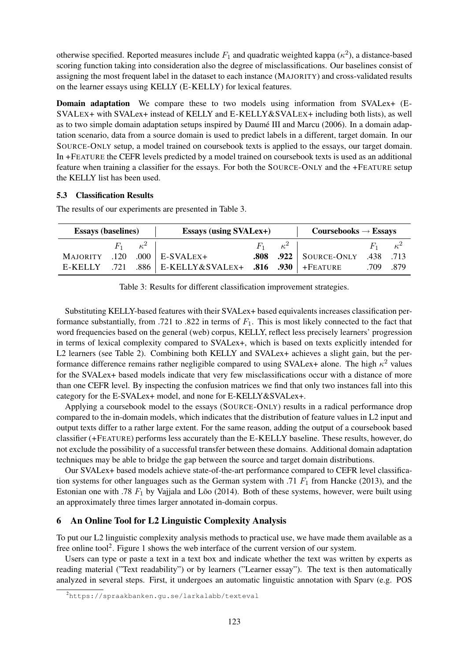otherwise specified. Reported measures include  $F_1$  and quadratic weighted kappa ( $\kappa^2$ ), a distance-based scoring function taking into consideration also the degree of misclassifications. Our baselines consist of assigning the most frequent label in the dataset to each instance (MAJORITY) and cross-validated results on the learner essays using KELLY (E-KELLY) for lexical features.

Domain adaptation We compare these to two models using information from SVALex+ (E-SVALEX+ with SVALex+ instead of KELLY and E-KELLY&SVALEX+ including both lists), as well as to two simple domain adaptation setups inspired by Daumé III and Marcu (2006). In a domain adaptation scenario, data from a source domain is used to predict labels in a different, target domain. In our SOURCE-ONLY setup, a model trained on coursebook texts is applied to the essays, our target domain. In +FEATURE the CEFR levels predicted by a model trained on coursebook texts is used as an additional feature when training a classifier for the essays. For both the SOURCE-ONLY and the +FEATURE setup the KELLY list has been used.

#### 5.3 Classification Results

| <b>Essays (baselines)</b> |      |                       | <b>Essays (using SVALex+)</b>               |  |                       | $Coursebooks \rightarrow Essays$         |                       |  |
|---------------------------|------|-----------------------|---------------------------------------------|--|-----------------------|------------------------------------------|-----------------------|--|
|                           |      | $F_1 \qquad \kappa^2$ |                                             |  | $F_1 \qquad \kappa^2$ |                                          | $F_1 \qquad \kappa^2$ |  |
| <b>MAJORITY</b>           | .120 |                       | $.000$   E-SVALEX+                          |  |                       | <b>.808</b> .922   SOURCE-ONLY .438 .713 |                       |  |
| E-KELLY .721              |      |                       | .886   E-KELLY&SVALEX+ .816 .930   +FEATURE |  |                       |                                          | .709 .879             |  |

The results of our experiments are presented in Table 3.

Table 3: Results for different classification improvement strategies.

Substituting KELLY-based features with their SVALex+ based equivalents increases classification performance substantially, from .721 to .822 in terms of  $F_1$ . This is most likely connected to the fact that word frequencies based on the general (web) corpus, KELLY, reflect less precisely learners' progression in terms of lexical complexity compared to SVALex+, which is based on texts explicitly intended for L2 learners (see Table 2). Combining both KELLY and SVALex+ achieves a slight gain, but the performance difference remains rather negligible compared to using SVALex+ alone. The high  $\kappa^2$  values for the SVALex+ based models indicate that very few misclassifications occur with a distance of more than one CEFR level. By inspecting the confusion matrices we find that only two instances fall into this category for the E-SVALex+ model, and none for E-KELLY&SVALex+.

Applying a coursebook model to the essays (SOURCE-ONLY) results in a radical performance drop compared to the in-domain models, which indicates that the distribution of feature values in L2 input and output texts differ to a rather large extent. For the same reason, adding the output of a coursebook based classifier (+FEATURE) performs less accurately than the E-KELLY baseline. These results, however, do not exclude the possibility of a successful transfer between these domains. Additional domain adaptation techniques may be able to bridge the gap between the source and target domain distributions.

Our SVALex+ based models achieve state-of-the-art performance compared to CEFR level classification systems for other languages such as the German system with .71  $F_1$  from Hancke (2013), and the Estonian one with .78  $F_1$  by Vajjala and Lõo (2014). Both of these systems, however, were built using an approximately three times larger annotated in-domain corpus.

## 6 An Online Tool for L2 Linguistic Complexity Analysis

To put our L2 linguistic complexity analysis methods to practical use, we have made them available as a free online tool<sup>2</sup>. Figure 1 shows the web interface of the current version of our system.

Users can type or paste a text in a text box and indicate whether the text was written by experts as reading material ("Text readability") or by learners ("Learner essay"). The text is then automatically analyzed in several steps. First, it undergoes an automatic linguistic annotation with Sparv (e.g. POS

<sup>2</sup>https://spraakbanken.gu.se/larkalabb/texteval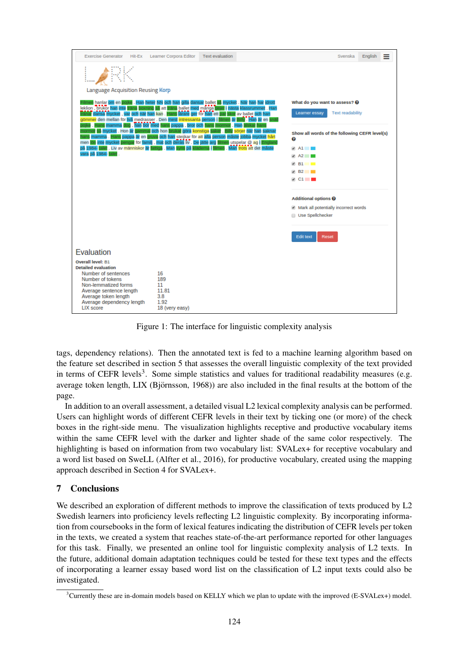

Figure 1: The interface for linguistic complexity analysis

tags, dependency relations). Then the annotated text is fed to a machine learning algorithm based on the feature set described in section 5 that assesses the overall linguistic complexity of the text provided in terms of CEFR levels<sup>3</sup>. Some simple statistics and values for traditional readability measures (e.g. average token length, LIX (Björnsson, 1968)) are also included in the final results at the bottom of the page.

In addition to an overall assessment, a detailed visual L2 lexical complexity analysis can be performed. Users can highlight words of different CEFR levels in their text by ticking one (or more) of the check boxes in the right-side menu. The visualization highlights receptive and productive vocabulary items within the same CEFR level with the darker and lighter shade of the same color respectively. The highlighting is based on information from two vocabulary list: SVALex+ for receptive vocabulary and a word list based on SweLL (Alfter et al., 2016), for productive vocabulary, created using the mapping approach described in Section 4 for SVALex+.

## 7 Conclusions

We described an exploration of different methods to improve the classification of texts produced by L2 Swedish learners into proficiency levels reflecting L2 linguistic complexity. By incorporating information from coursebooks in the form of lexical features indicating the distribution of CEFR levels per token in the texts, we created a system that reaches state-of-the-art performance reported for other languages for this task. Finally, we presented an online tool for linguistic complexity analysis of L2 texts. In the future, additional domain adaptation techniques could be tested for these text types and the effects of incorporating a learner essay based word list on the classification of L2 input texts could also be investigated.

 $3$ Currently these are in-domain models based on KELLY which we plan to update with the improved (E-SVALex+) model.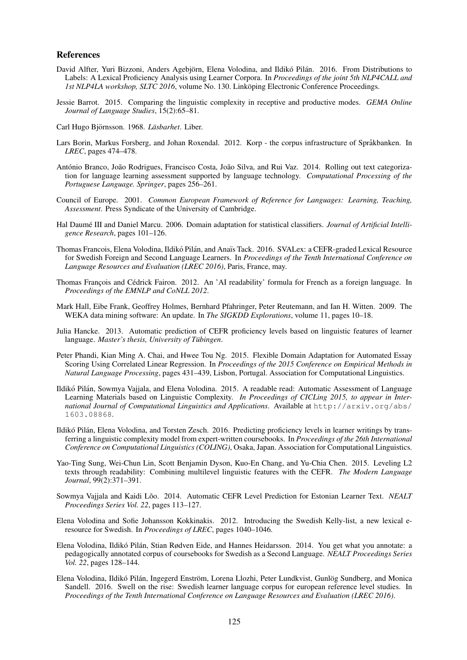#### References

- David Alfter, Yuri Bizzoni, Anders Agebjörn, Elena Volodina, and Ildikó Pilán. 2016. From Distributions to Labels: A Lexical Proficiency Analysis using Learner Corpora. In *Proceedings of the joint 5th NLP4CALL and 1st NLP4LA workshop, SLTC 2016*, volume No. 130. Linkoping Electronic Conference Proceedings.
- Jessie Barrot. 2015. Comparing the linguistic complexity in receptive and productive modes. *GEMA Online Journal of Language Studies*, 15(2):65–81.
- Carl Hugo Björnsson. 1968. *Läsbarhet*. Liber.
- Lars Borin, Markus Forsberg, and Johan Roxendal. 2012. Korp the corpus infrastructure of Språkbanken. In *LREC*, pages 474–478.
- António Branco, João Rodrigues, Francisco Costa, João Silva, and Rui Vaz. 2014. Rolling out text categorization for language learning assessment supported by language technology. *Computational Processing of the Portuguese Language. Springer*, pages 256–261.
- Council of Europe. 2001. *Common European Framework of Reference for Languages: Learning, Teaching, Assessment*. Press Syndicate of the University of Cambridge.
- Hal Daumé III and Daniel Marcu. 2006. Domain adaptation for statistical classifiers. *Journal of Artificial Intelligence Research*, pages 101–126.
- Thomas Francois, Elena Volodina, Ildikó Pilán, and Anaïs Tack. 2016. SVALex: a CEFR-graded Lexical Resource for Swedish Foreign and Second Language Learners. In *Proceedings of the Tenth International Conference on Language Resources and Evaluation (LREC 2016)*, Paris, France, may.
- Thomas François and Cédrick Fairon. 2012. An 'AI readability' formula for French as a foreign language. In *Proceedings of the EMNLP and CoNLL 2012*.
- Mark Hall, Eibe Frank, Geoffrey Holmes, Bernhard Pfahringer, Peter Reutemann, and Ian H. Witten. 2009. The WEKA data mining software: An update. In *The SIGKDD Explorations*, volume 11, pages 10–18.
- Julia Hancke. 2013. Automatic prediction of CEFR proficiency levels based on linguistic features of learner language. *Master's thesis, University of Tübingen.*
- Peter Phandi, Kian Ming A. Chai, and Hwee Tou Ng. 2015. Flexible Domain Adaptation for Automated Essay Scoring Using Correlated Linear Regression. In *Proceedings of the 2015 Conference on Empirical Methods in Natural Language Processing*, pages 431–439, Lisbon, Portugal. Association for Computational Linguistics.
- Ildikó Pilán, Sowmya Vajjala, and Elena Volodina. 2015. A readable read: Automatic Assessment of Language Learning Materials based on Linguistic Complexity. *In Proceedings of CICLing 2015, to appear in International Journal of Computational Linguistics and Applications*. Available at http://arxiv.org/abs/ 1603.08868.
- Ildikó Pilán, Elena Volodina, and Torsten Zesch. 2016. Predicting proficiency levels in learner writings by transferring a linguistic complexity model from expert-written coursebooks. In *Proceedings of the 26th International Conference on Computational Linguistics (COLING)*, Osaka, Japan. Association for Computational Linguistics.
- Yao-Ting Sung, Wei-Chun Lin, Scott Benjamin Dyson, Kuo-En Chang, and Yu-Chia Chen. 2015. Leveling L2 texts through readability: Combining multilevel linguistic features with the CEFR. *The Modern Language Journal*, 99(2):371–391.
- Sowmya Vajjala and Kaidi Lõo. 2014. Automatic CEFR Level Prediction for Estonian Learner Text. NEALT *Proceedings Series Vol. 22*, pages 113–127.
- Elena Volodina and Sofie Johansson Kokkinakis. 2012. Introducing the Swedish Kelly-list, a new lexical eresource for Swedish. In *Proceedings of LREC*, pages 1040–1046.
- Elena Volodina, Ildikó Pilán, Stian Rødven Eide, and Hannes Heidarsson. 2014. You get what you annotate: a pedagogically annotated corpus of coursebooks for Swedish as a Second Language. *NEALT Proceedings Series Vol. 22*, pages 128–144.
- Elena Volodina, Ildikó Pilán, Ingegerd Enström, Lorena Llozhi, Peter Lundkvist, Gunlög Sundberg, and Monica Sandell. 2016. Swell on the rise: Swedish learner language corpus for european reference level studies. In *Proceedings of the Tenth International Conference on Language Resources and Evaluation (LREC 2016)*.